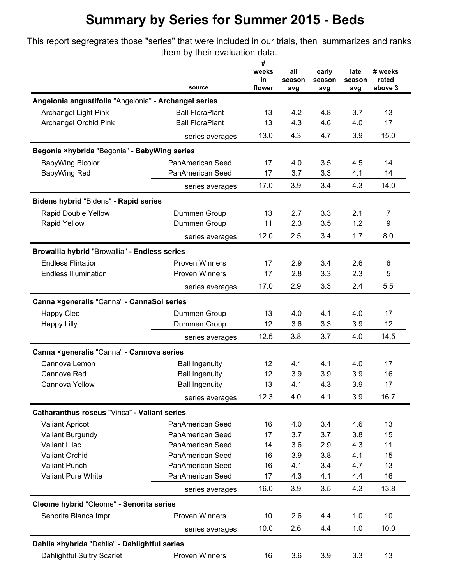This report segregrates those "series" that were included in our trials, then summarizes and ranks them by their evaluation data.

|                                          | source                                                                                                                                                                                                                                                                                                                                                                                                                                                                                                                                                                                                         | #<br>weeks<br>in<br>flower | all<br>season<br>avg | early<br>season<br>avg | late<br>season<br>avg | # weeks<br>rated<br>above 3 |
|------------------------------------------|----------------------------------------------------------------------------------------------------------------------------------------------------------------------------------------------------------------------------------------------------------------------------------------------------------------------------------------------------------------------------------------------------------------------------------------------------------------------------------------------------------------------------------------------------------------------------------------------------------------|----------------------------|----------------------|------------------------|-----------------------|-----------------------------|
|                                          |                                                                                                                                                                                                                                                                                                                                                                                                                                                                                                                                                                                                                |                            |                      |                        |                       |                             |
| Archangel Light Pink                     | <b>Ball FloraPlant</b>                                                                                                                                                                                                                                                                                                                                                                                                                                                                                                                                                                                         | 13                         | 4.2                  | 4.8                    | 3.7                   | 13                          |
| Archangel Orchid Pink                    | <b>Ball FloraPlant</b>                                                                                                                                                                                                                                                                                                                                                                                                                                                                                                                                                                                         | 13                         | 4.3                  | 4.6                    | 4.0                   | 17                          |
|                                          | series averages                                                                                                                                                                                                                                                                                                                                                                                                                                                                                                                                                                                                | 13.0                       | 4.3                  | 4.7                    | 3.9                   | 15.0                        |
|                                          |                                                                                                                                                                                                                                                                                                                                                                                                                                                                                                                                                                                                                |                            |                      |                        |                       |                             |
| <b>BabyWing Bicolor</b>                  | PanAmerican Seed                                                                                                                                                                                                                                                                                                                                                                                                                                                                                                                                                                                               | 17                         | 4.0                  | 3.5                    | 4.5                   | 14                          |
| BabyWing Red                             | PanAmerican Seed                                                                                                                                                                                                                                                                                                                                                                                                                                                                                                                                                                                               | 17                         | 3.7                  | 3.3                    | 4.1                   | 14                          |
|                                          | series averages                                                                                                                                                                                                                                                                                                                                                                                                                                                                                                                                                                                                | 17.0                       | 3.9                  | 3.4                    | 4.3                   | 14.0                        |
| Bidens hybrid "Bidens" - Rapid series    |                                                                                                                                                                                                                                                                                                                                                                                                                                                                                                                                                                                                                |                            |                      |                        |                       |                             |
| Rapid Double Yellow                      | Dummen Group                                                                                                                                                                                                                                                                                                                                                                                                                                                                                                                                                                                                   | 13                         | 2.7                  | 3.3                    | 2.1                   | 7                           |
| <b>Rapid Yellow</b>                      | Dummen Group                                                                                                                                                                                                                                                                                                                                                                                                                                                                                                                                                                                                   | 11                         | 2.3                  | 3.5                    | 1.2                   | 9                           |
|                                          | series averages                                                                                                                                                                                                                                                                                                                                                                                                                                                                                                                                                                                                | 12.0                       | 2.5                  | 3.4                    | 1.7                   | 8.0                         |
|                                          |                                                                                                                                                                                                                                                                                                                                                                                                                                                                                                                                                                                                                |                            |                      |                        |                       |                             |
| <b>Endless Flirtation</b>                | <b>Proven Winners</b>                                                                                                                                                                                                                                                                                                                                                                                                                                                                                                                                                                                          | 17                         | 2.9                  | 3.4                    | 2.6                   | 6                           |
| <b>Endless Illumination</b>              | <b>Proven Winners</b>                                                                                                                                                                                                                                                                                                                                                                                                                                                                                                                                                                                          | 17                         | 2.8                  | 3.3                    | 2.3                   | 5                           |
|                                          | series averages                                                                                                                                                                                                                                                                                                                                                                                                                                                                                                                                                                                                | 17.0                       | 2.9                  | 3.3                    | 2.4                   | 5.5                         |
|                                          |                                                                                                                                                                                                                                                                                                                                                                                                                                                                                                                                                                                                                |                            |                      |                        |                       |                             |
|                                          | Dummen Group                                                                                                                                                                                                                                                                                                                                                                                                                                                                                                                                                                                                   | 13                         | 4.0                  | 4.1                    | 4.0                   | 17                          |
| <b>Happy Lilly</b>                       | Dummen Group                                                                                                                                                                                                                                                                                                                                                                                                                                                                                                                                                                                                   | 12                         | 3.6                  | 3.3                    | 3.9                   | 12                          |
|                                          | series averages                                                                                                                                                                                                                                                                                                                                                                                                                                                                                                                                                                                                | 12.5                       | 3.8                  | 3.7                    | 4.0                   | 14.5                        |
|                                          |                                                                                                                                                                                                                                                                                                                                                                                                                                                                                                                                                                                                                |                            |                      |                        |                       |                             |
| Cannova Lemon                            |                                                                                                                                                                                                                                                                                                                                                                                                                                                                                                                                                                                                                | 12                         | 4.1                  | 4.1                    | 4.0                   | 17                          |
| Cannova Red                              | <b>Ball Ingenuity</b>                                                                                                                                                                                                                                                                                                                                                                                                                                                                                                                                                                                          | 12                         | 3.9                  | 3.9                    | 3.9                   | 16                          |
| Cannova Yellow                           | Angelonia angustifolia "Angelonia" - Archangel series<br>Begonia ×hybrida "Begonia" - BabyWing series<br>Browallia hybrid "Browallia" - Endless series<br>Canna ×generalis "Canna" - CannaSol series<br>Canna ×generalis "Canna" - Cannova series<br><b>Ball Ingenuity</b><br><b>Ball Ingenuity</b><br>series averages<br>Catharanthus roseus "Vinca" - Valiant series<br>PanAmerican Seed<br>PanAmerican Seed<br>PanAmerican Seed<br>PanAmerican Seed<br>PanAmerican Seed<br>PanAmerican Seed<br>series averages<br><b>Proven Winners</b><br>series averages<br>Dahlia ×hybrida "Dahlia" - Dahlightful series | 13                         | 4.1                  | 4.3                    | 3.9                   | 17                          |
| <b>Happy Cleo</b>                        |                                                                                                                                                                                                                                                                                                                                                                                                                                                                                                                                                                                                                | 12.3                       | 4.0                  | 4.1                    | 3.9                   | 16.7                        |
|                                          |                                                                                                                                                                                                                                                                                                                                                                                                                                                                                                                                                                                                                |                            |                      |                        |                       |                             |
| <b>Valiant Apricot</b>                   |                                                                                                                                                                                                                                                                                                                                                                                                                                                                                                                                                                                                                | 16                         | 4.0                  | 3.4                    | 4.6                   | 13                          |
| Valiant Burgundy                         |                                                                                                                                                                                                                                                                                                                                                                                                                                                                                                                                                                                                                | 17                         | 3.7                  | 3.7                    | 3.8                   | 15                          |
| <b>Valiant Lilac</b>                     |                                                                                                                                                                                                                                                                                                                                                                                                                                                                                                                                                                                                                | 14                         | 3.6                  | 2.9                    | 4.3                   | 11                          |
| <b>Valiant Orchid</b>                    |                                                                                                                                                                                                                                                                                                                                                                                                                                                                                                                                                                                                                | 16                         | 3.9                  | 3.8                    | 4.1                   | 15                          |
| <b>Valiant Punch</b>                     |                                                                                                                                                                                                                                                                                                                                                                                                                                                                                                                                                                                                                | 16                         | 4.1                  | 3.4                    | 4.7                   | 13                          |
| <b>Valiant Pure White</b>                |                                                                                                                                                                                                                                                                                                                                                                                                                                                                                                                                                                                                                | 17                         | 4.3                  | 4.1                    | 4.4                   | 16                          |
|                                          |                                                                                                                                                                                                                                                                                                                                                                                                                                                                                                                                                                                                                | 16.0                       | 3.9                  | 3.5                    | 4.3                   | 13.8                        |
| Cleome hybrid "Cleome" - Senorita series |                                                                                                                                                                                                                                                                                                                                                                                                                                                                                                                                                                                                                |                            |                      |                        |                       |                             |
| Senorita Blanca Impr                     |                                                                                                                                                                                                                                                                                                                                                                                                                                                                                                                                                                                                                | 10                         | 2.6                  | 4.4                    | 1.0                   | 10                          |
|                                          |                                                                                                                                                                                                                                                                                                                                                                                                                                                                                                                                                                                                                | 10.0                       | 2.6                  | 4.4                    | 1.0                   | 10.0                        |
|                                          |                                                                                                                                                                                                                                                                                                                                                                                                                                                                                                                                                                                                                |                            |                      |                        |                       |                             |
| Dahlightful Sultry Scarlet               | Proven Winners                                                                                                                                                                                                                                                                                                                                                                                                                                                                                                                                                                                                 | 16                         | 3.6                  | 3.9                    | 3.3                   | 13                          |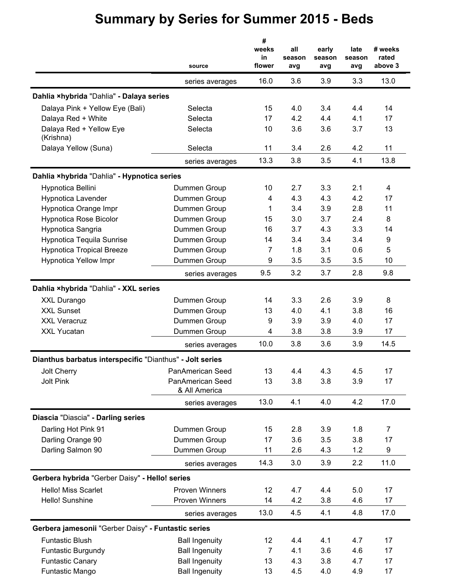|                                                          | source                                         | #<br>weeks<br>in<br>flower | all<br>season<br>avg | early<br>season<br>avg | late<br>season<br>avg | # weeks<br>rated<br>above 3 |
|----------------------------------------------------------|------------------------------------------------|----------------------------|----------------------|------------------------|-----------------------|-----------------------------|
|                                                          | series averages                                | 16.0                       | 3.6                  | 3.9                    | 3.3                   | 13.0                        |
| Dahlia ×hybrida "Dahlia" - Dalaya series                 |                                                |                            |                      |                        |                       |                             |
| Dalaya Pink + Yellow Eye (Bali)                          | Selecta                                        | 15                         | 4.0                  | 3.4                    | 4.4                   | 14                          |
| Dalaya Red + White                                       | Selecta                                        | 17                         | 4.2                  | 4.4                    | 4.1                   | 17                          |
| Dalaya Red + Yellow Eye<br>(Krishna)                     | Selecta                                        | 10                         | 3.6                  | 3.6                    | 3.7                   | 13                          |
| Dalaya Yellow (Suna)                                     | Selecta                                        | 11                         | 3.4                  | 2.6                    | 4.2                   | 11                          |
|                                                          | series averages                                | 13.3                       | 3.8                  | 3.5                    | 4.1                   | 13.8                        |
| Dahlia ×hybrida "Dahlia" - Hypnotica series              |                                                |                            |                      |                        |                       |                             |
| Hypnotica Bellini                                        | Dummen Group                                   | 10                         | 2.7                  | 3.3                    | 2.1                   | 4                           |
| Hypnotica Lavender                                       | Dummen Group                                   | 4                          | 4.3                  | 4.3                    | 4.2                   | 17                          |
| Hypnotica Orange Impr                                    | Dummen Group                                   | 1                          | 3.4                  | 3.9                    | 2.8                   | 11                          |
| <b>Hypnotica Rose Bicolor</b>                            | Dummen Group                                   | 15                         | 3.0                  | 3.7                    | 2.4                   | 8                           |
| Hypnotica Sangria                                        | Dummen Group                                   | 16                         | 3.7                  | 4.3                    | 3.3                   | 14                          |
| <b>Hypnotica Tequila Sunrise</b>                         | Dummen Group                                   | 14                         | 3.4                  | 3.4                    | 3.4                   | 9                           |
| <b>Hypnotica Tropical Breeze</b>                         | Dummen Group                                   | $\overline{7}$             | 1.8                  | 3.1                    | 0.6                   | 5                           |
| <b>Hypnotica Yellow Impr</b>                             | Dummen Group                                   | 9                          | 3.5                  | 3.5                    | 3.5                   | 10                          |
|                                                          | series averages                                | 9.5                        | 3.2                  | 3.7                    | 2.8                   | 9.8                         |
| Dahlia ×hybrida "Dahlia" - XXL series                    |                                                |                            |                      |                        |                       |                             |
| XXL Durango                                              | Dummen Group                                   | 14                         | 3.3                  | 2.6                    | 3.9                   | 8                           |
| <b>XXL Sunset</b>                                        | Dummen Group                                   | 13                         | 4.0                  | 4.1                    | 3.8                   | 16                          |
| <b>XXL Veracruz</b>                                      | Dummen Group                                   | 9                          | 3.9                  | 3.9                    | 4.0                   | 17                          |
| XXL Yucatan                                              | Dummen Group                                   | 4                          | 3.8                  | 3.8                    | 3.9                   | 17                          |
|                                                          | series averages                                | 10.0                       | 3.8                  | 3.6                    | 3.9                   | 14.5                        |
|                                                          |                                                |                            |                      |                        |                       |                             |
| Dianthus barbatus interspecific "Dianthus" - Jolt series |                                                |                            |                      |                        |                       |                             |
| Jolt Cherry                                              | PanAmerican Seed                               | 13                         | 4.4                  | 4.3                    | 4.5                   | 17                          |
| <b>Jolt Pink</b>                                         | PanAmerican Seed<br>& All America              | 13                         | 3.8                  | 3.8                    | 3.9                   | 17                          |
|                                                          | series averages                                | 13.0                       | 4.1                  | 4.0                    | 4.2                   | 17.0                        |
| Diascia "Diascia" - Darling series                       |                                                |                            |                      |                        |                       |                             |
| Darling Hot Pink 91                                      | Dummen Group                                   | 15                         | 2.8                  | 3.9                    | 1.8                   | 7                           |
| Darling Orange 90                                        | Dummen Group                                   | 17                         | 3.6                  | 3.5                    | 3.8                   | 17                          |
| Darling Salmon 90                                        | Dummen Group                                   | 11                         | 2.6                  | 4.3                    | 1.2                   | 9                           |
|                                                          | series averages                                | 14.3                       | 3.0                  | 3.9                    | 2.2                   | 11.0                        |
| Gerbera hybrida "Gerber Daisy" - Hello! series           |                                                |                            |                      |                        |                       |                             |
| Hello! Miss Scarlet                                      | <b>Proven Winners</b>                          | 12                         | 4.7                  | 4.4                    | 5.0                   | 17                          |
| Hello! Sunshine                                          | Proven Winners                                 | 14                         | 4.2                  | 3.8                    | 4.6                   | 17                          |
|                                                          | series averages                                | 13.0                       | 4.5                  | 4.1                    | 4.8                   | 17.0                        |
| Gerbera jamesonii "Gerber Daisy" - Funtastic series      |                                                |                            |                      |                        |                       |                             |
| <b>Funtastic Blush</b>                                   |                                                | 12                         | 4.4                  | 4.1                    | 4.7                   | 17                          |
|                                                          | <b>Ball Ingenuity</b>                          | 7                          | 4.1                  | 3.6                    | 4.6                   | 17                          |
| <b>Funtastic Burgundy</b><br><b>Funtastic Canary</b>     | <b>Ball Ingenuity</b><br><b>Ball Ingenuity</b> | 13                         | 4.3                  | 3.8                    | 4.7                   | 17                          |
| Funtastic Mango                                          | <b>Ball Ingenuity</b>                          | 13                         | 4.5                  | 4.0                    | 4.9                   | 17                          |
|                                                          |                                                |                            |                      |                        |                       |                             |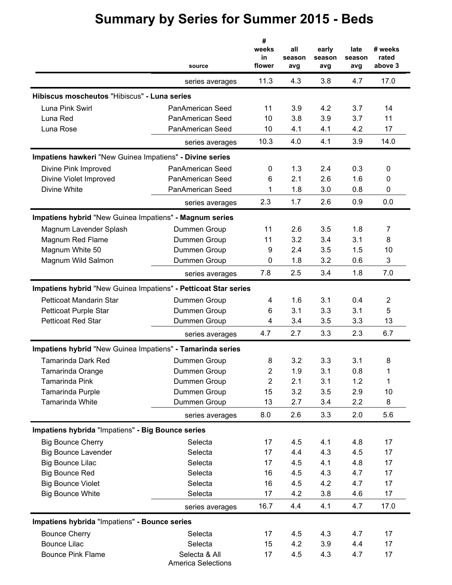|                                                                 | source                                     | #<br>weeks<br>in<br>flower | all<br>season<br>avg | early<br>season<br>avg | late<br>season<br>avg | # weeks<br>rated<br>above 3 |
|-----------------------------------------------------------------|--------------------------------------------|----------------------------|----------------------|------------------------|-----------------------|-----------------------------|
|                                                                 | series averages                            | 11.3                       | 4.3                  | 3.8                    | 4.7                   | 17.0                        |
| Hibiscus moscheutos "Hibiscus" - Luna series                    |                                            |                            |                      |                        |                       |                             |
| Luna Pink Swirl                                                 | <b>PanAmerican Seed</b>                    | 11                         | 3.9                  | 4.2                    | 3.7                   | 14                          |
| Luna Red                                                        | PanAmerican Seed                           | 10                         | 3.8                  | 3.9                    | 3.7                   | 11                          |
| Luna Rose                                                       | PanAmerican Seed                           | 10                         | 4.1                  | 4.1                    | 4.2                   | 17                          |
|                                                                 | series averages                            | 10.3                       | 4.0                  | 4.1                    | 3.9                   | 14.0                        |
| Impatiens hawkeri "New Guinea Impatiens" - Divine series        |                                            |                            |                      |                        |                       |                             |
| Divine Pink Improved                                            | PanAmerican Seed                           | 0                          | 1.3                  | 2.4                    | 0.3                   | 0                           |
| Divine Violet Improved                                          | PanAmerican Seed                           | 6                          | 2.1                  | 2.6                    | 1.6                   | 0                           |
| Divine White                                                    | PanAmerican Seed                           | 1                          | 1.8                  | 3.0                    | 0.8                   | 0                           |
|                                                                 | series averages                            | 2.3                        | 1.7                  | 2.6                    | 0.9                   | 0.0                         |
| Impatiens hybrid "New Guinea Impatiens" - Magnum series         |                                            |                            |                      |                        |                       |                             |
| Magnum Lavender Splash                                          | Dummen Group                               | 11                         | 2.6                  | 3.5                    | 1.8                   | 7                           |
| Magnum Red Flame                                                | Dummen Group                               | 11                         | 3.2                  | 3.4                    | 3.1                   | 8                           |
| Magnum White 50                                                 | Dummen Group                               | 9                          | 2.4                  | 3.5                    | 1.5                   | 10                          |
| Magnum Wild Salmon                                              | Dummen Group                               | 0                          | 1.8                  | 3.2                    | 0.6                   | 3                           |
|                                                                 | series averages                            | 7.8                        | 2.5                  | 3.4                    | 1.8                   | 7.0                         |
| Impatiens hybrid "New Guinea Impatiens" - Petticoat Star series |                                            |                            |                      |                        |                       |                             |
| Petticoat Mandarin Star                                         | Dummen Group                               | 4                          | 1.6                  | 3.1                    | 0.4                   | $\overline{2}$              |
| Petticoat Purple Star                                           | Dummen Group                               | 6                          | 3.1                  | 3.3                    | 3.1                   | 5                           |
| <b>Petticoat Red Star</b>                                       | Dummen Group                               | 4                          | 3.4                  | 3.5                    | 3.3                   | 13                          |
|                                                                 | series averages                            | 4.7                        | 2.7                  | 3.3                    | 2.3                   | 6.7                         |
| Impatiens hybrid "New Guinea Impatiens" - Tamarinda series      |                                            |                            |                      |                        |                       |                             |
| <b>Tamarinda Dark Red</b>                                       | Dummen Group                               | 8                          | 3.2                  | 3.3                    | 3.1                   | 8                           |
| Tamarinda Orange                                                | Dummen Group                               | 2                          | 1.9                  | 3.1                    | 0.8                   | 1                           |
| Tamarinda Pink                                                  | Dummen Group                               | 2                          | 2.1                  | 3.1                    | 1.2                   | 1                           |
| Tamarinda Purple                                                | Dummen Group                               | 15                         | 3.2                  | 3.5                    | 2.9                   | 10                          |
| Tamarinda White                                                 | Dummen Group                               | 13                         | 2.7                  | 3.4                    | 2.2                   | 8                           |
|                                                                 | series averages                            | 8.0                        | 2.6                  | 3.3                    | 2.0                   | 5.6                         |
| Impatiens hybrida "Impatiens" - Big Bounce series               |                                            |                            |                      |                        |                       |                             |
| <b>Big Bounce Cherry</b>                                        | Selecta                                    | 17                         | 4.5                  | 4.1                    | 4.8                   | 17                          |
| <b>Big Bounce Lavender</b>                                      | Selecta                                    | 17                         | 4.4                  | 4.3                    | 4.5                   | 17                          |
| <b>Big Bounce Lilac</b>                                         | Selecta                                    | 17                         | 4.5                  | 4.1                    | 4.8                   | 17                          |
| <b>Big Bounce Red</b>                                           | Selecta                                    | 16                         | 4.5                  | 4.3                    | 4.7                   | 17                          |
| <b>Big Bounce Violet</b>                                        | Selecta                                    | 16                         | 4.5                  | 4.2                    | 4.7                   | 17                          |
| <b>Big Bounce White</b>                                         | Selecta                                    | 17                         | 4.2                  | 3.8                    | 4.6                   | 17                          |
|                                                                 | series averages                            | 16.7                       | 4.4                  | 4.1                    | 4.7                   | 17.0                        |
| Impatiens hybrida "Impatiens" - Bounce series                   |                                            |                            |                      |                        |                       |                             |
| <b>Bounce Cherry</b>                                            | Selecta                                    | 17                         | 4.5                  | 4.3                    | 4.7                   | 17                          |
| <b>Bounce Lilac</b>                                             | Selecta                                    | 15                         | 4.2                  | 3.9                    | 4.4                   | 17                          |
| <b>Bounce Pink Flame</b>                                        | Selecta & All<br><b>America Selections</b> | 17                         | 4.5                  | 4.3                    | 4.7                   | 17                          |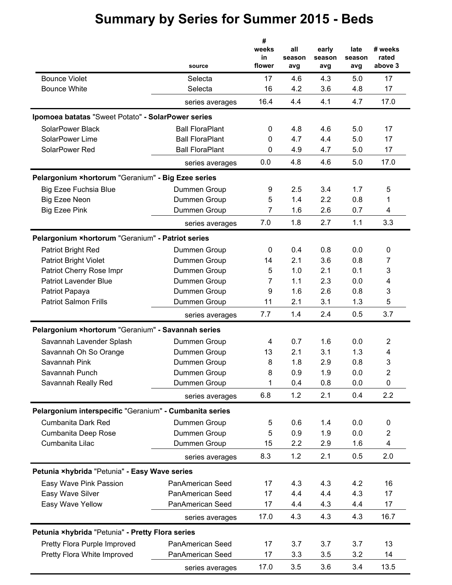|                                                         | source                  | #<br>weeks<br>in<br>flower | all<br>season<br>avg | early<br>season<br>avg | late<br>season<br>avg | # weeks<br>rated<br>above 3 |
|---------------------------------------------------------|-------------------------|----------------------------|----------------------|------------------------|-----------------------|-----------------------------|
| <b>Bounce Violet</b>                                    | Selecta                 | 17                         | 4.6                  | 4.3                    | 5.0                   | 17                          |
| <b>Bounce White</b>                                     | Selecta                 | 16                         | 4.2                  | 3.6                    | 4.8                   | 17                          |
|                                                         | series averages         | 16.4                       | 4.4                  | 4.1                    | 4.7                   | 17.0                        |
| Ipomoea batatas "Sweet Potato" - SolarPower series      |                         |                            |                      |                        |                       |                             |
| SolarPower Black                                        | <b>Ball FloraPlant</b>  | 0                          | 4.8                  | 4.6                    | 5.0                   | 17                          |
| SolarPower Lime                                         | <b>Ball FloraPlant</b>  | 0                          | 4.7                  | 4.4                    | 5.0                   | 17                          |
| SolarPower Red                                          | <b>Ball FloraPlant</b>  | 0                          | 4.9                  | 4.7                    | 5.0                   | 17                          |
|                                                         | series averages         | 0.0                        | 4.8                  | 4.6                    | 5.0                   | 17.0                        |
| Pelargonium ×hortorum "Geranium" - Big Ezee series      |                         |                            |                      |                        |                       |                             |
| <b>Big Ezee Fuchsia Blue</b>                            | Dummen Group            | 9                          | 2.5                  | 3.4                    | 1.7                   | 5                           |
| <b>Big Ezee Neon</b>                                    | Dummen Group            | 5                          | 1.4                  | 2.2                    | 0.8                   | 1                           |
| <b>Big Ezee Pink</b>                                    | Dummen Group            | 7                          | 1.6                  | 2.6                    | 0.7                   | 4                           |
|                                                         | series averages         | 7.0                        | 1.8                  | 2.7                    | 1.1                   | 3.3                         |
| Pelargonium × hortorum "Geranium" - Patriot series      |                         |                            |                      |                        |                       |                             |
| <b>Patriot Bright Red</b>                               | Dummen Group            | 0                          | 0.4                  | 0.8                    | 0.0                   | 0                           |
| <b>Patriot Bright Violet</b>                            | Dummen Group            | 14                         | 2.1                  | 3.6                    | 0.8                   | $\overline{7}$              |
| Patriot Cherry Rose Impr                                | Dummen Group            | 5                          | 1.0                  | 2.1                    | 0.1                   | 3                           |
| <b>Patriot Lavender Blue</b>                            | Dummen Group            | 7                          | 1.1                  | 2.3                    | 0.0                   | 4                           |
| Patriot Papaya                                          | Dummen Group            | 9                          | 1.6                  | 2.6                    | 0.8                   | 3                           |
| <b>Patriot Salmon Frills</b>                            | Dummen Group            | 11                         | 2.1                  | 3.1                    | 1.3                   | 5                           |
|                                                         | series averages         | 7.7                        | 1.4                  | 2.4                    | 0.5                   | 3.7                         |
| Pelargonium ×hortorum "Geranium" - Savannah series      |                         |                            |                      |                        |                       |                             |
| Savannah Lavender Splash                                | Dummen Group            | 4                          | 0.7                  | 1.6                    | 0.0                   | $\overline{2}$              |
| Savannah Oh So Orange                                   | Dummen Group            | 13                         | 2.1                  | 3.1                    | 1.3                   | 4                           |
| Savannah Pink                                           | Dummen Group            | 8                          | 1.8                  | 2.9                    | 0.8                   | 3                           |
| Savannah Punch                                          | Dummen Group            | 8                          | 0.9                  | 1.9                    | 0.0                   | 2                           |
| Savannah Really Red                                     | Dummen Group            | 1                          | 0.4                  | 0.8                    | 0.0                   | $\mathbf 0$                 |
|                                                         | series averages         | 6.8                        | 1.2                  | 2.1                    | 0.4                   | 2.2                         |
| Pelargonium interspecific "Geranium" - Cumbanita series |                         |                            |                      |                        |                       |                             |
| Cumbanita Dark Red                                      | Dummen Group            | 5                          | 0.6                  | 1.4                    | 0.0                   | 0                           |
| Cumbanita Deep Rose                                     | Dummen Group            | 5                          | 0.9                  | 1.9                    | 0.0                   | $\boldsymbol{2}$            |
| Cumbanita Lilac                                         | Dummen Group            | 15                         | 2.2                  | 2.9                    | 1.6                   | 4                           |
|                                                         | series averages         | 8.3                        | 1.2                  | 2.1                    | 0.5                   | 2.0                         |
| Petunia ×hybrida "Petunia" - Easy Wave series           |                         |                            |                      |                        |                       |                             |
| Easy Wave Pink Passion                                  | <b>PanAmerican Seed</b> | 17                         | 4.3                  | 4.3                    | 4.2                   | 16                          |
| Easy Wave Silver                                        | PanAmerican Seed        | 17                         | 4.4                  | 4.4                    | 4.3                   | 17                          |
| Easy Wave Yellow                                        | PanAmerican Seed        | 17                         | 4.4                  | 4.3                    | 4.4                   | 17                          |
|                                                         | series averages         | 17.0                       | 4.3                  | 4.3                    | 4.3                   | 16.7                        |
| Petunia ×hybrida "Petunia" - Pretty Flora series        |                         |                            |                      |                        |                       |                             |
| Pretty Flora Purple Improved                            | PanAmerican Seed        | 17                         | 3.7                  | 3.7                    | 3.7                   | 13                          |
| Pretty Flora White Improved                             | PanAmerican Seed        | 17                         | 3.3                  | 3.5                    | 3.2                   | 14                          |
|                                                         | series averages         | 17.0                       | 3.5                  | 3.6                    | 3.4                   | 13.5                        |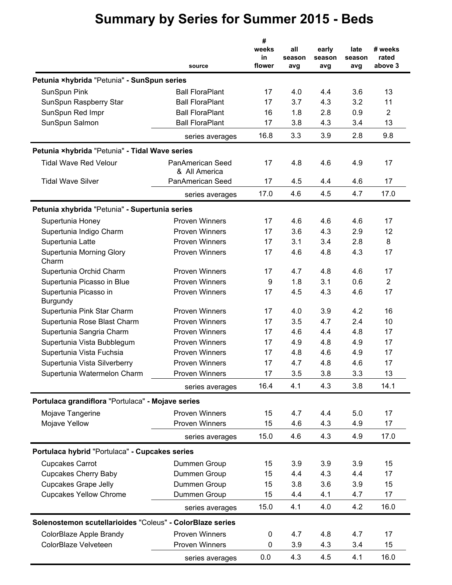|                                                           |                                   | #                     |                      |                        |                       |                             |
|-----------------------------------------------------------|-----------------------------------|-----------------------|----------------------|------------------------|-----------------------|-----------------------------|
|                                                           | source                            | weeks<br>in<br>flower | all<br>season<br>avg | early<br>season<br>avg | late<br>season<br>avg | # weeks<br>rated<br>above 3 |
| Petunia ×hybrida "Petunia" - SunSpun series               |                                   |                       |                      |                        |                       |                             |
| SunSpun Pink                                              | <b>Ball FloraPlant</b>            | 17                    | 4.0                  | 4.4                    | 3.6                   | 13                          |
| SunSpun Raspberry Star                                    | <b>Ball FloraPlant</b>            | 17                    | 3.7                  | 4.3                    | 3.2                   | 11                          |
| SunSpun Red Impr                                          | <b>Ball FloraPlant</b>            | 16                    | 1.8                  | 2.8                    | 0.9                   | 2                           |
| SunSpun Salmon                                            | <b>Ball FloraPlant</b>            | 17                    | 3.8                  | 4.3                    | 3.4                   | 13                          |
|                                                           | series averages                   | 16.8                  | 3.3                  | 3.9                    | 2.8                   | 9.8                         |
|                                                           |                                   |                       |                      |                        |                       |                             |
| Petunia ×hybrida "Petunia" - Tidal Wave series            |                                   |                       |                      |                        |                       |                             |
| <b>Tidal Wave Red Velour</b>                              | PanAmerican Seed<br>& All America | 17                    | 4.8                  | 4.6                    | 4.9                   | 17                          |
| <b>Tidal Wave Silver</b>                                  | PanAmerican Seed                  | 17                    | 4.5                  | 4.4                    | 4.6                   | 17                          |
|                                                           | series averages                   | 17.0                  | 4.6                  | 4.5                    | 4.7                   | 17.0                        |
| Petunia xhybrida "Petunia" - Supertunia series            |                                   |                       |                      |                        |                       |                             |
| Supertunia Honey                                          | <b>Proven Winners</b>             | 17                    | 4.6                  | 4.6                    | 4.6                   | 17                          |
| Supertunia Indigo Charm                                   | <b>Proven Winners</b>             | 17                    | 3.6                  | 4.3                    | 2.9                   | 12                          |
| Supertunia Latte                                          | <b>Proven Winners</b>             | 17                    | 3.1                  | 3.4                    | 2.8                   | 8                           |
| Supertunia Morning Glory<br>Charm                         | Proven Winners                    | 17                    | 4.6                  | 4.8                    | 4.3                   | 17                          |
| Supertunia Orchid Charm                                   | <b>Proven Winners</b>             | 17                    | 4.7                  | 4.8                    | 4.6                   | 17                          |
| Supertunia Picasso in Blue                                | <b>Proven Winners</b>             | 9                     | 1.8                  | 3.1                    | 0.6                   | $\overline{2}$              |
| Supertunia Picasso in<br><b>Burgundy</b>                  | <b>Proven Winners</b>             | 17                    | 4.5                  | 4.3                    | 4.6                   | 17                          |
| Supertunia Pink Star Charm                                | <b>Proven Winners</b>             | 17                    | 4.0                  | 3.9                    | 4.2                   | 16                          |
| Supertunia Rose Blast Charm                               | <b>Proven Winners</b>             | 17                    | 3.5                  | 4.7                    | 2.4                   | 10                          |
| Supertunia Sangria Charm                                  | <b>Proven Winners</b>             | 17                    | 4.6                  | 4.4                    | 4.8                   | 17                          |
| Supertunia Vista Bubblegum                                | <b>Proven Winners</b>             | 17                    | 4.9                  | 4.8                    | 4.9                   | 17                          |
| Supertunia Vista Fuchsia                                  | <b>Proven Winners</b>             | 17                    | 4.8                  | 4.6                    | 4.9                   | 17                          |
| Supertunia Vista Silverberry                              | <b>Proven Winners</b>             | 17                    | 4.7                  | 4.8                    | 4.6                   | 17                          |
| Supertunia Watermelon Charm                               | Proven Winners                    | 17                    | 3.5                  | 3.8                    | 3.3                   | 13                          |
|                                                           | series averages                   | 16.4                  | 4.1                  | 4.3                    | 3.8                   | 14.1                        |
| Portulaca grandiflora "Portulaca" - Mojave series         |                                   |                       |                      |                        |                       |                             |
| Mojave Tangerine                                          | <b>Proven Winners</b>             | 15                    | 4.7                  | 4.4                    | 5.0                   | 17                          |
| Mojave Yellow                                             | <b>Proven Winners</b>             | 15                    | 4.6                  | 4.3                    | 4.9                   | 17                          |
|                                                           | series averages                   | 15.0                  | 4.6                  | 4.3                    | 4.9                   | 17.0                        |
| Portulaca hybrid "Portulaca" - Cupcakes series            |                                   |                       |                      |                        |                       |                             |
| <b>Cupcakes Carrot</b>                                    | Dummen Group                      | 15                    | 3.9                  | 3.9                    | 3.9                   | 15                          |
| <b>Cupcakes Cherry Baby</b>                               | Dummen Group                      | 15                    | 4.4                  | 4.3                    | 4.4                   | 17                          |
| <b>Cupcakes Grape Jelly</b>                               | Dummen Group                      | 15                    | 3.8                  | 3.6                    | 3.9                   | 15                          |
| <b>Cupcakes Yellow Chrome</b>                             | Dummen Group                      | 15                    | 4.4                  | 4.1                    | 4.7                   | 17                          |
|                                                           |                                   | 15.0                  | 4.1                  | 4.0                    | 4.2                   | 16.0                        |
|                                                           | series averages                   |                       |                      |                        |                       |                             |
| Solenostemon scutellarioides "Coleus" - ColorBlaze series |                                   |                       |                      |                        |                       |                             |
| ColorBlaze Apple Brandy                                   | <b>Proven Winners</b>             | $\pmb{0}$             | 4.7                  | 4.8                    | 4.7                   | 17                          |
| ColorBlaze Velveteen                                      | Proven Winners                    | 0                     | 3.9                  | 4.3                    | 3.4                   | 15                          |
|                                                           | series averages                   | 0.0                   | 4.3                  | 4.5                    | 4.1                   | 16.0                        |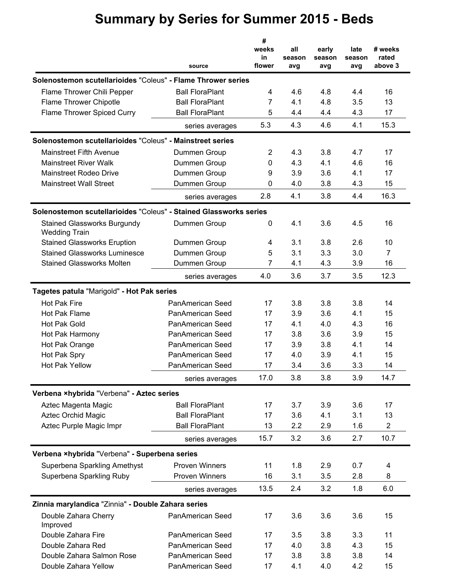|                                                                   |                         | #                     |                      |                        |                       |                             |
|-------------------------------------------------------------------|-------------------------|-----------------------|----------------------|------------------------|-----------------------|-----------------------------|
|                                                                   | source                  | weeks<br>in<br>flower | all<br>season<br>avg | early<br>season<br>avg | late<br>season<br>avg | # weeks<br>rated<br>above 3 |
| Solenostemon scutellarioides "Coleus" - Flame Thrower series      |                         |                       |                      |                        |                       |                             |
| Flame Thrower Chili Pepper                                        | <b>Ball FloraPlant</b>  | 4                     | 4.6                  | 4.8                    | 4.4                   | 16                          |
| Flame Thrower Chipotle                                            | <b>Ball FloraPlant</b>  | 7                     | 4.1                  | 4.8                    | 3.5                   | 13                          |
| Flame Thrower Spiced Curry                                        | <b>Ball FloraPlant</b>  | 5                     | 4.4                  | 4.4                    | 4.3                   | 17                          |
|                                                                   | series averages         | 5.3                   | 4.3                  | 4.6                    | 4.1                   | 15.3                        |
| Solenostemon scutellarioides "Coleus" - Mainstreet series         |                         |                       |                      |                        |                       |                             |
| <b>Mainstreet Fifth Avenue</b>                                    | Dummen Group            | $\overline{c}$        | 4.3                  | 3.8                    | 4.7                   | 17                          |
| <b>Mainstreet River Walk</b>                                      | Dummen Group            | 0                     | 4.3                  | 4.1                    | 4.6                   | 16                          |
| <b>Mainstreet Rodeo Drive</b>                                     | Dummen Group            | 9                     | 3.9                  | 3.6                    | 4.1                   | 17                          |
| <b>Mainstreet Wall Street</b>                                     | Dummen Group            | 0                     | 4.0                  | 3.8                    | 4.3                   | 15                          |
|                                                                   | series averages         | 2.8                   | 4.1                  | 3.8                    | 4.4                   | 16.3                        |
| Solenostemon scutellarioides "Coleus" - Stained Glassworks series |                         |                       |                      |                        |                       |                             |
| <b>Stained Glassworks Burgundy</b><br><b>Wedding Train</b>        | Dummen Group            | 0                     | 4.1                  | 3.6                    | 4.5                   | 16                          |
| <b>Stained Glassworks Eruption</b>                                | Dummen Group            | 4                     | 3.1                  | 3.8                    | 2.6                   | 10                          |
| <b>Stained Glassworks Luminesce</b>                               | Dummen Group            | 5                     | 3.1                  | 3.3                    | 3.0                   | 7                           |
| <b>Stained Glassworks Molten</b>                                  | Dummen Group            | 7                     | 4.1                  | 4.3                    | 3.9                   | 16                          |
|                                                                   | series averages         | 4.0                   | 3.6                  | 3.7                    | 3.5                   | 12.3                        |
| Tagetes patula "Marigold" - Hot Pak series                        |                         |                       |                      |                        |                       |                             |
| <b>Hot Pak Fire</b>                                               | PanAmerican Seed        | 17                    | 3.8                  | 3.8                    | 3.8                   | 14                          |
| Hot Pak Flame                                                     | <b>PanAmerican Seed</b> | 17                    | 3.9                  | 3.6                    | 4.1                   | 15                          |
| <b>Hot Pak Gold</b>                                               | PanAmerican Seed        | 17                    | 4.1                  | 4.0                    | 4.3                   | 16                          |
| Hot Pak Harmony                                                   | PanAmerican Seed        | 17                    | 3.8                  | 3.6                    | 3.9                   | 15                          |
| Hot Pak Orange                                                    | PanAmerican Seed        | 17                    | 3.9                  | 3.8                    | 4.1                   | 14                          |
| Hot Pak Spry                                                      | <b>PanAmerican Seed</b> | 17                    | 4.0                  | 3.9                    | 4.1                   | 15                          |
| <b>Hot Pak Yellow</b>                                             | <b>PanAmerican Seed</b> | 17                    | 3.4                  | 3.6                    | 3.3                   | 14                          |
|                                                                   | series averages         | 17.0                  | 3.8                  | 3.8                    | 3.9                   | 14.7                        |
| Verbena ×hybrida "Verbena" - Aztec series                         |                         |                       |                      |                        |                       |                             |
| Aztec Magenta Magic                                               | <b>Ball FloraPlant</b>  | 17                    | 3.7                  | 3.9                    | 3.6                   | 17                          |
| <b>Aztec Orchid Magic</b>                                         | <b>Ball FloraPlant</b>  | 17                    | 3.6                  | 4.1                    | 3.1                   | 13                          |
| Aztec Purple Magic Impr                                           | <b>Ball FloraPlant</b>  | 13                    | 2.2                  | 2.9                    | 1.6                   | $\overline{2}$              |
|                                                                   | series averages         | 15.7                  | 3.2                  | 3.6                    | 2.7                   | 10.7                        |
| Verbena ×hybrida "Verbena" - Superbena series                     |                         |                       |                      |                        |                       |                             |
| Superbena Sparkling Amethyst                                      | <b>Proven Winners</b>   | 11                    | 1.8                  | 2.9                    | 0.7                   | 4                           |
| Superbena Sparkling Ruby                                          | Proven Winners          | 16                    | 3.1                  | 3.5                    | 2.8                   | 8                           |
|                                                                   | series averages         | 13.5                  | 2.4                  | 3.2                    | 1.8                   | 6.0                         |
|                                                                   |                         |                       |                      |                        |                       |                             |
| Zinnia marylandica "Zinnia" - Double Zahara series                |                         |                       |                      |                        |                       |                             |
| Double Zahara Cherry<br>Improved                                  | PanAmerican Seed        | 17                    | 3.6                  | 3.6                    | 3.6                   | 15                          |
| Double Zahara Fire                                                | PanAmerican Seed        | 17                    | 3.5                  | 3.8                    | 3.3                   | 11                          |
| Double Zahara Red                                                 | PanAmerican Seed        | 17                    | 4.0                  | 3.8                    | 4.3                   | 15                          |
| Double Zahara Salmon Rose                                         | PanAmerican Seed        | 17                    | 3.8                  | 3.8                    | 3.8                   | 14                          |
| Double Zahara Yellow                                              | PanAmerican Seed        | 17                    | 4.1                  | 4.0                    | 4.2                   | 15                          |